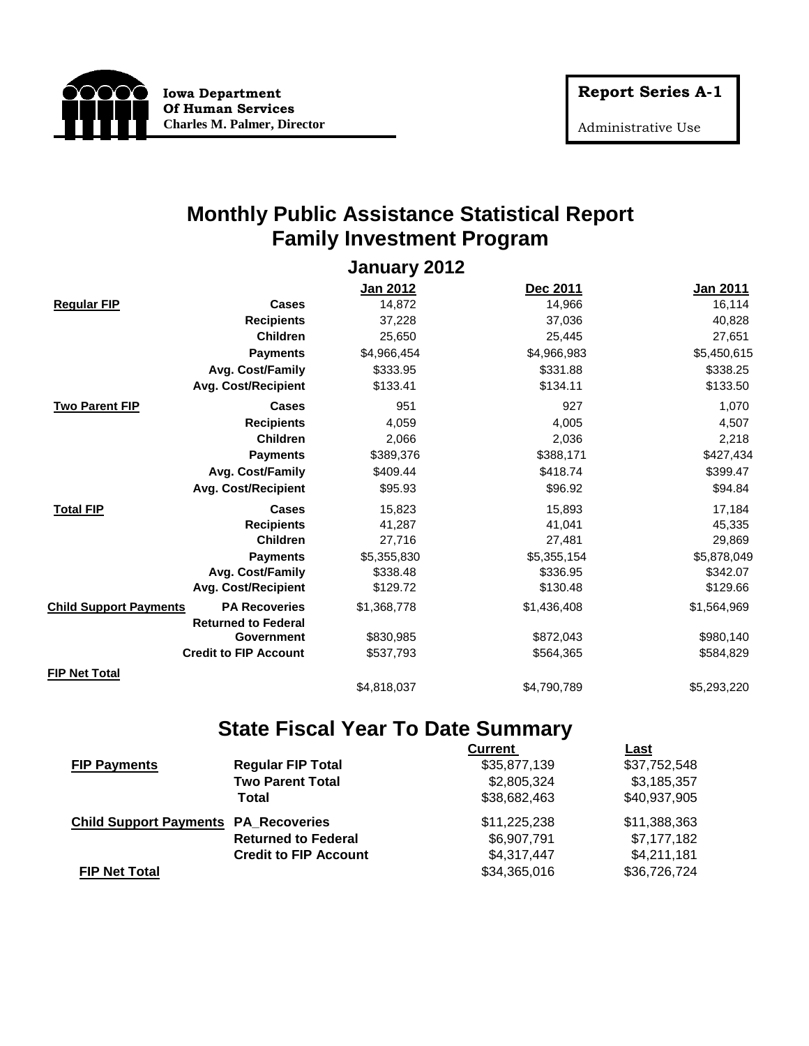

Administrative Use

Only

#### **Monthly Public Assistance Statistical Report Family Investment Program**

**January 2012**

|                               |                              | Jan 2012    | Dec 2011    | <b>Jan 2011</b> |
|-------------------------------|------------------------------|-------------|-------------|-----------------|
| <b>Regular FIP</b>            | Cases                        | 14,872      | 14,966      | 16,114          |
|                               | <b>Recipients</b>            | 37,228      | 37,036      | 40,828          |
|                               | <b>Children</b>              | 25,650      | 25,445      | 27,651          |
|                               | <b>Payments</b>              | \$4,966,454 | \$4,966,983 | \$5,450,615     |
|                               | Avg. Cost/Family             | \$333.95    | \$331.88    | \$338.25        |
|                               | <b>Avg. Cost/Recipient</b>   | \$133.41    | \$134.11    | \$133.50        |
| <b>Two Parent FIP</b>         | <b>Cases</b>                 | 951         | 927         | 1,070           |
|                               | <b>Recipients</b>            | 4,059       | 4,005       | 4,507           |
|                               | <b>Children</b>              | 2,066       | 2,036       | 2,218           |
|                               | <b>Payments</b>              | \$389,376   | \$388,171   | \$427,434       |
|                               | Avg. Cost/Family             | \$409.44    | \$418.74    | \$399.47        |
|                               | <b>Avg. Cost/Recipient</b>   | \$95.93     | \$96.92     | \$94.84         |
| <b>Total FIP</b>              | <b>Cases</b>                 | 15,823      | 15,893      | 17,184          |
|                               | <b>Recipients</b>            | 41,287      | 41,041      | 45,335          |
|                               | <b>Children</b>              | 27,716      | 27,481      | 29,869          |
|                               | <b>Payments</b>              | \$5,355,830 | \$5,355,154 | \$5,878,049     |
|                               | Avg. Cost/Family             | \$338.48    | \$336.95    | \$342.07        |
|                               | <b>Avg. Cost/Recipient</b>   | \$129.72    | \$130.48    | \$129.66        |
| <b>Child Support Payments</b> | <b>PA Recoveries</b>         | \$1,368,778 | \$1,436,408 | \$1,564,969     |
|                               | <b>Returned to Federal</b>   |             |             |                 |
|                               | Government                   | \$830,985   | \$872,043   | \$980,140       |
|                               | <b>Credit to FIP Account</b> | \$537,793   | \$564,365   | \$584,829       |
| <b>FIP Net Total</b>          |                              |             |             |                 |
|                               |                              | \$4,818,037 | \$4,790,789 | \$5,293,220     |

#### **State Fiscal Year To Date Summary**

|                                             |                              | <b>Current</b> | Last         |
|---------------------------------------------|------------------------------|----------------|--------------|
| <b>FIP Payments</b>                         | <b>Regular FIP Total</b>     | \$35,877,139   | \$37,752,548 |
|                                             | <b>Two Parent Total</b>      | \$2,805,324    | \$3,185,357  |
|                                             | Total                        | \$38,682,463   | \$40,937,905 |
| <b>Child Support Payments PA_Recoveries</b> |                              | \$11,225,238   | \$11,388,363 |
|                                             | <b>Returned to Federal</b>   | \$6,907,791    | \$7,177,182  |
|                                             | <b>Credit to FIP Account</b> | \$4,317,447    | \$4,211,181  |
| <b>FIP Net Total</b>                        |                              | \$34,365,016   | \$36,726,724 |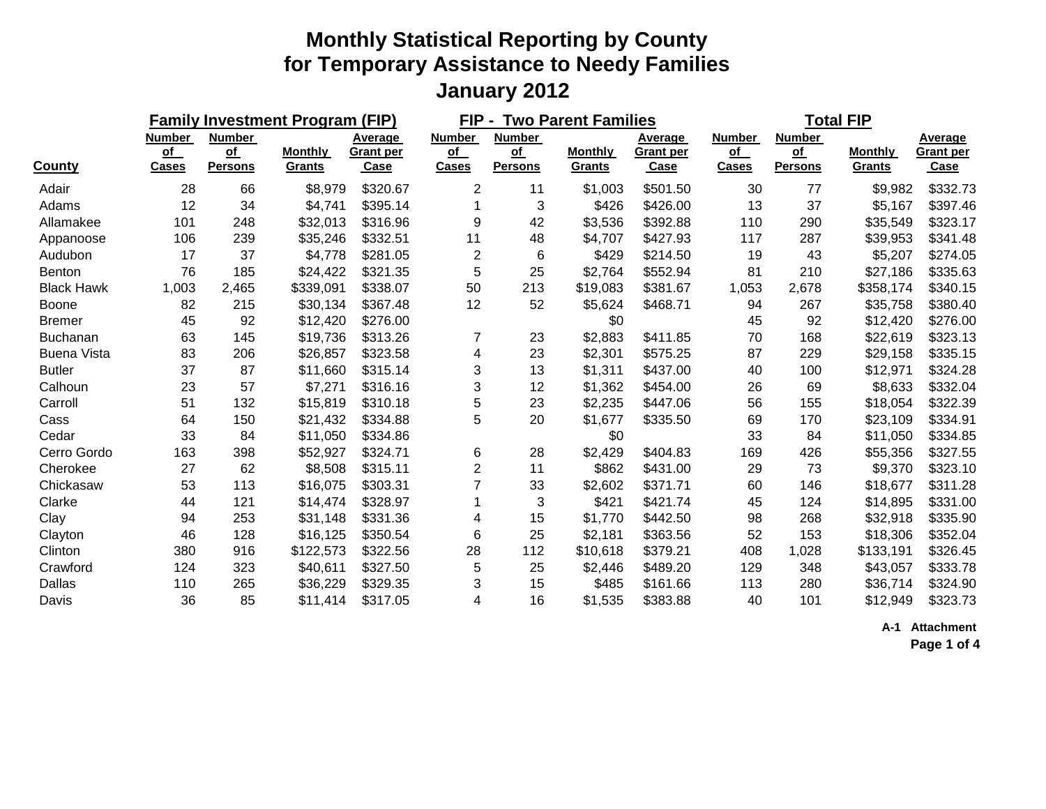|                    |                                            |                                              | <b>Family Investment Program (FIP)</b> |                              |                                            | FIP-<br><b>Two Parent Families</b>           |                          |                                     |                                     | <b>Total FIP</b>                             |                          |                                            |  |
|--------------------|--------------------------------------------|----------------------------------------------|----------------------------------------|------------------------------|--------------------------------------------|----------------------------------------------|--------------------------|-------------------------------------|-------------------------------------|----------------------------------------------|--------------------------|--------------------------------------------|--|
| <b>County</b>      | <b>Number</b><br><u>of</u><br><b>Cases</b> | <b>Number</b><br><u>of</u><br><b>Persons</b> | <b>Monthly</b><br>Grants               | Average<br>Grant per<br>Case | <b>Number</b><br><u>of</u><br><b>Cases</b> | <b>Number</b><br><u>of</u><br><b>Persons</b> | <b>Monthly</b><br>Grants | Average<br><b>Grant per</b><br>Case | <b>Number</b><br>of<br><b>Cases</b> | <b>Number</b><br><u>of</u><br><b>Persons</b> | <b>Monthly</b><br>Grants | Average<br><b>Grant per</b><br><b>Case</b> |  |
| Adair              | 28                                         | 66                                           | \$8,979                                | \$320.67                     | $\overline{2}$                             | 11                                           | \$1,003                  | \$501.50                            | 30                                  | 77                                           | \$9,982                  | \$332.73                                   |  |
| Adams              | 12                                         | 34                                           | \$4,741                                | \$395.14                     |                                            | 3                                            | \$426                    | \$426.00                            | 13                                  | 37                                           | \$5,167                  | \$397.46                                   |  |
| Allamakee          | 101                                        | 248                                          | \$32,013                               | \$316.96                     | 9                                          | 42                                           | \$3,536                  | \$392.88                            | 110                                 | 290                                          | \$35,549                 | \$323.17                                   |  |
| Appanoose          | 106                                        | 239                                          | \$35,246                               | \$332.51                     | 11                                         | 48                                           | \$4,707                  | \$427.93                            | 117                                 | 287                                          | \$39,953                 | \$341.48                                   |  |
| Audubon            | 17                                         | 37                                           | \$4,778                                | \$281.05                     | $\overline{2}$                             | 6                                            | \$429                    | \$214.50                            | 19                                  | 43                                           | \$5,207                  | \$274.05                                   |  |
| Benton             | 76                                         | 185                                          | \$24,422                               | \$321.35                     | 5                                          | 25                                           | \$2,764                  | \$552.94                            | 81                                  | 210                                          | \$27,186                 | \$335.63                                   |  |
| <b>Black Hawk</b>  | 1,003                                      | 2,465                                        | \$339,091                              | \$338.07                     | 50                                         | 213                                          | \$19,083                 | \$381.67                            | 1,053                               | 2,678                                        | \$358,174                | \$340.15                                   |  |
| <b>Boone</b>       | 82                                         | 215                                          | \$30,134                               | \$367.48                     | 12                                         | 52                                           | \$5,624                  | \$468.71                            | 94                                  | 267                                          | \$35,758                 | \$380.40                                   |  |
| <b>Bremer</b>      | 45                                         | 92                                           | \$12,420                               | \$276.00                     |                                            |                                              | \$0                      |                                     | 45                                  | 92                                           | \$12,420                 | \$276.00                                   |  |
| <b>Buchanan</b>    | 63                                         | 145                                          | \$19,736                               | \$313.26                     | 7                                          | 23                                           | \$2,883                  | \$411.85                            | 70                                  | 168                                          | \$22,619                 | \$323.13                                   |  |
| <b>Buena Vista</b> | 83                                         | 206                                          | \$26,857                               | \$323.58                     | 4                                          | 23                                           | \$2,301                  | \$575.25                            | 87                                  | 229                                          | \$29,158                 | \$335.15                                   |  |
| <b>Butler</b>      | 37                                         | 87                                           | \$11,660                               | \$315.14                     | 3                                          | 13                                           | \$1,311                  | \$437.00                            | 40                                  | 100                                          | \$12,971                 | \$324.28                                   |  |
| Calhoun            | 23                                         | 57                                           | \$7,271                                | \$316.16                     | 3                                          | 12                                           | \$1,362                  | \$454.00                            | 26                                  | 69                                           | \$8,633                  | \$332.04                                   |  |
| Carroll            | 51                                         | 132                                          | \$15,819                               | \$310.18                     | 5                                          | 23                                           | \$2,235                  | \$447.06                            | 56                                  | 155                                          | \$18,054                 | \$322.39                                   |  |
| Cass               | 64                                         | 150                                          | \$21,432                               | \$334.88                     | 5                                          | 20                                           | \$1,677                  | \$335.50                            | 69                                  | 170                                          | \$23,109                 | \$334.91                                   |  |
| Cedar              | 33                                         | 84                                           | \$11,050                               | \$334.86                     |                                            |                                              | \$0                      |                                     | 33                                  | 84                                           | \$11,050                 | \$334.85                                   |  |
| Cerro Gordo        | 163                                        | 398                                          | \$52,927                               | \$324.71                     | 6                                          | 28                                           | \$2,429                  | \$404.83                            | 169                                 | 426                                          | \$55,356                 | \$327.55                                   |  |
| Cherokee           | 27                                         | 62                                           | \$8,508                                | \$315.11                     | $\overline{2}$                             | 11                                           | \$862                    | \$431.00                            | 29                                  | 73                                           | \$9,370                  | \$323.10                                   |  |
| Chickasaw          | 53                                         | 113                                          | \$16,075                               | \$303.31                     | 7                                          | 33                                           | \$2,602                  | \$371.71                            | 60                                  | 146                                          | \$18,677                 | \$311.28                                   |  |
| Clarke             | 44                                         | 121                                          | \$14,474                               | \$328.97                     |                                            | 3                                            | \$421                    | \$421.74                            | 45                                  | 124                                          | \$14,895                 | \$331.00                                   |  |
| Clay               | 94                                         | 253                                          | \$31,148                               | \$331.36                     | 4                                          | 15                                           | \$1,770                  | \$442.50                            | 98                                  | 268                                          | \$32,918                 | \$335.90                                   |  |
| Clayton            | 46                                         | 128                                          | \$16,125                               | \$350.54                     | 6                                          | 25                                           | \$2,181                  | \$363.56                            | 52                                  | 153                                          | \$18,306                 | \$352.04                                   |  |
| Clinton            | 380                                        | 916                                          | \$122,573                              | \$322.56                     | 28                                         | 112                                          | \$10,618                 | \$379.21                            | 408                                 | 1,028                                        | \$133,191                | \$326.45                                   |  |
| Crawford           | 124                                        | 323                                          | \$40,611                               | \$327.50                     | 5                                          | 25                                           | \$2,446                  | \$489.20                            | 129                                 | 348                                          | \$43,057                 | \$333.78                                   |  |
| Dallas             | 110                                        | 265                                          | \$36,229                               | \$329.35                     | 3                                          | 15                                           | \$485                    | \$161.66                            | 113                                 | 280                                          | \$36,714                 | \$324.90                                   |  |
| Davis              | 36                                         | 85                                           | \$11,414                               | \$317.05                     | 4                                          | 16                                           | \$1,535                  | \$383.88                            | 40                                  | 101                                          | \$12,949                 | \$323.73                                   |  |

**A-1 Attachment**

**Page 1 of 4**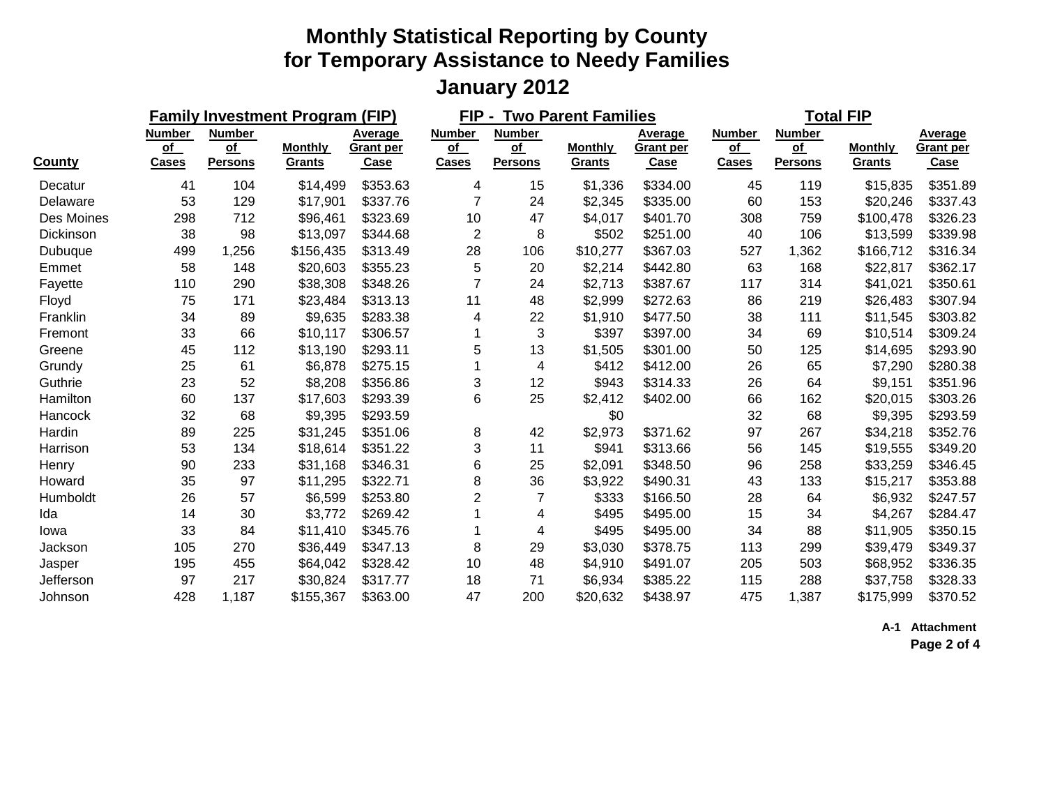|               |                                     |                                                    | <b>Family Investment Program (FIP)</b> |                              |                                     | FIP -<br><b>Two Parent Families</b>                       |                          |                                     |                                     | <b>Total FIP</b>                      |                          |                                            |  |
|---------------|-------------------------------------|----------------------------------------------------|----------------------------------------|------------------------------|-------------------------------------|-----------------------------------------------------------|--------------------------|-------------------------------------|-------------------------------------|---------------------------------------|--------------------------|--------------------------------------------|--|
| <b>County</b> | <b>Number</b><br>of<br><b>Cases</b> | <b>Number</b><br>$\overline{of}$<br><b>Persons</b> | <b>Monthly</b><br>Grants               | Average<br>Grant per<br>Case | <b>Number</b><br>of<br><b>Cases</b> | <b>Number</b><br>$\overline{\text{of}}$<br><b>Persons</b> | <b>Monthly</b><br>Grants | Average<br><b>Grant per</b><br>Case | <b>Number</b><br>of<br><b>Cases</b> | <b>Number</b><br>of<br><b>Persons</b> | <b>Monthly</b><br>Grants | Average<br><b>Grant per</b><br><b>Case</b> |  |
| Decatur       | 41                                  | 104                                                | \$14,499                               | \$353.63                     | 4                                   | 15                                                        | \$1,336                  | \$334.00                            | 45                                  | 119                                   | \$15,835                 | \$351.89                                   |  |
| Delaware      | 53                                  | 129                                                | \$17,901                               | \$337.76                     | 7                                   | 24                                                        | \$2,345                  | \$335.00                            | 60                                  | 153                                   | \$20,246                 | \$337.43                                   |  |
| Des Moines    | 298                                 | 712                                                | \$96,461                               | \$323.69                     | 10                                  | 47                                                        | \$4,017                  | \$401.70                            | 308                                 | 759                                   | \$100,478                | \$326.23                                   |  |
| Dickinson     | 38                                  | 98                                                 | \$13,097                               | \$344.68                     | $\overline{2}$                      | 8                                                         | \$502                    | \$251.00                            | 40                                  | 106                                   | \$13,599                 | \$339.98                                   |  |
| Dubuque       | 499                                 | 1,256                                              | \$156,435                              | \$313.49                     | 28                                  | 106                                                       | \$10,277                 | \$367.03                            | 527                                 | 1,362                                 | \$166,712                | \$316.34                                   |  |
| Emmet         | 58                                  | 148                                                | \$20,603                               | \$355.23                     | 5                                   | 20                                                        | \$2,214                  | \$442.80                            | 63                                  | 168                                   | \$22,817                 | \$362.17                                   |  |
| Fayette       | 110                                 | 290                                                | \$38,308                               | \$348.26                     | $\overline{7}$                      | 24                                                        | \$2,713                  | \$387.67                            | 117                                 | 314                                   | \$41,021                 | \$350.61                                   |  |
| Floyd         | 75                                  | 171                                                | \$23,484                               | \$313.13                     | 11                                  | 48                                                        | \$2,999                  | \$272.63                            | 86                                  | 219                                   | \$26,483                 | \$307.94                                   |  |
| Franklin      | 34                                  | 89                                                 | \$9,635                                | \$283.38                     | 4                                   | 22                                                        | \$1,910                  | \$477.50                            | 38                                  | 111                                   | \$11,545                 | \$303.82                                   |  |
| Fremont       | 33                                  | 66                                                 | \$10,117                               | \$306.57                     |                                     | 3                                                         | \$397                    | \$397.00                            | 34                                  | 69                                    | \$10,514                 | \$309.24                                   |  |
| Greene        | 45                                  | 112                                                | \$13,190                               | \$293.11                     | 5                                   | 13                                                        | \$1,505                  | \$301.00                            | 50                                  | 125                                   | \$14,695                 | \$293.90                                   |  |
| Grundy        | 25                                  | 61                                                 | \$6,878                                | \$275.15                     |                                     | 4                                                         | \$412                    | \$412.00                            | 26                                  | 65                                    | \$7,290                  | \$280.38                                   |  |
| Guthrie       | 23                                  | 52                                                 | \$8,208                                | \$356.86                     | 3                                   | 12                                                        | \$943                    | \$314.33                            | 26                                  | 64                                    | \$9,151                  | \$351.96                                   |  |
| Hamilton      | 60                                  | 137                                                | \$17,603                               | \$293.39                     | 6                                   | 25                                                        | \$2,412                  | \$402.00                            | 66                                  | 162                                   | \$20,015                 | \$303.26                                   |  |
| Hancock       | 32                                  | 68                                                 | \$9,395                                | \$293.59                     |                                     |                                                           | \$0                      |                                     | 32                                  | 68                                    | \$9,395                  | \$293.59                                   |  |
| Hardin        | 89                                  | 225                                                | \$31,245                               | \$351.06                     | 8                                   | 42                                                        | \$2,973                  | \$371.62                            | 97                                  | 267                                   | \$34,218                 | \$352.76                                   |  |
| Harrison      | 53                                  | 134                                                | \$18,614                               | \$351.22                     | 3                                   | 11                                                        | \$941                    | \$313.66                            | 56                                  | 145                                   | \$19,555                 | \$349.20                                   |  |
| Henry         | 90                                  | 233                                                | \$31,168                               | \$346.31                     | 6                                   | 25                                                        | \$2,091                  | \$348.50                            | 96                                  | 258                                   | \$33,259                 | \$346.45                                   |  |
| Howard        | 35                                  | 97                                                 | \$11,295                               | \$322.71                     | 8                                   | 36                                                        | \$3,922                  | \$490.31                            | 43                                  | 133                                   | \$15,217                 | \$353.88                                   |  |
| Humboldt      | 26                                  | 57                                                 | \$6,599                                | \$253.80                     | $\overline{2}$                      |                                                           | \$333                    | \$166.50                            | 28                                  | 64                                    | \$6,932                  | \$247.57                                   |  |
| Ida           | 14                                  | 30                                                 | \$3,772                                | \$269.42                     |                                     | 4                                                         | \$495                    | \$495.00                            | 15                                  | 34                                    | \$4,267                  | \$284.47                                   |  |
| Iowa          | 33                                  | 84                                                 | \$11,410                               | \$345.76                     |                                     | 4                                                         | \$495                    | \$495.00                            | 34                                  | 88                                    | \$11,905                 | \$350.15                                   |  |
| Jackson       | 105                                 | 270                                                | \$36,449                               | \$347.13                     | 8                                   | 29                                                        | \$3,030                  | \$378.75                            | 113                                 | 299                                   | \$39,479                 | \$349.37                                   |  |
| Jasper        | 195                                 | 455                                                | \$64,042                               | \$328.42                     | 10                                  | 48                                                        | \$4,910                  | \$491.07                            | 205                                 | 503                                   | \$68,952                 | \$336.35                                   |  |
| Jefferson     | 97                                  | 217                                                | \$30,824                               | \$317.77                     | 18                                  | 71                                                        | \$6,934                  | \$385.22                            | 115                                 | 288                                   | \$37,758                 | \$328.33                                   |  |
| Johnson       | 428                                 | 1,187                                              | \$155,367                              | \$363.00                     | 47                                  | 200                                                       | \$20,632                 | \$438.97                            | 475                                 | 1,387                                 | \$175,999                | \$370.52                                   |  |

**A-1 Attachment**

**Page 2 of 4**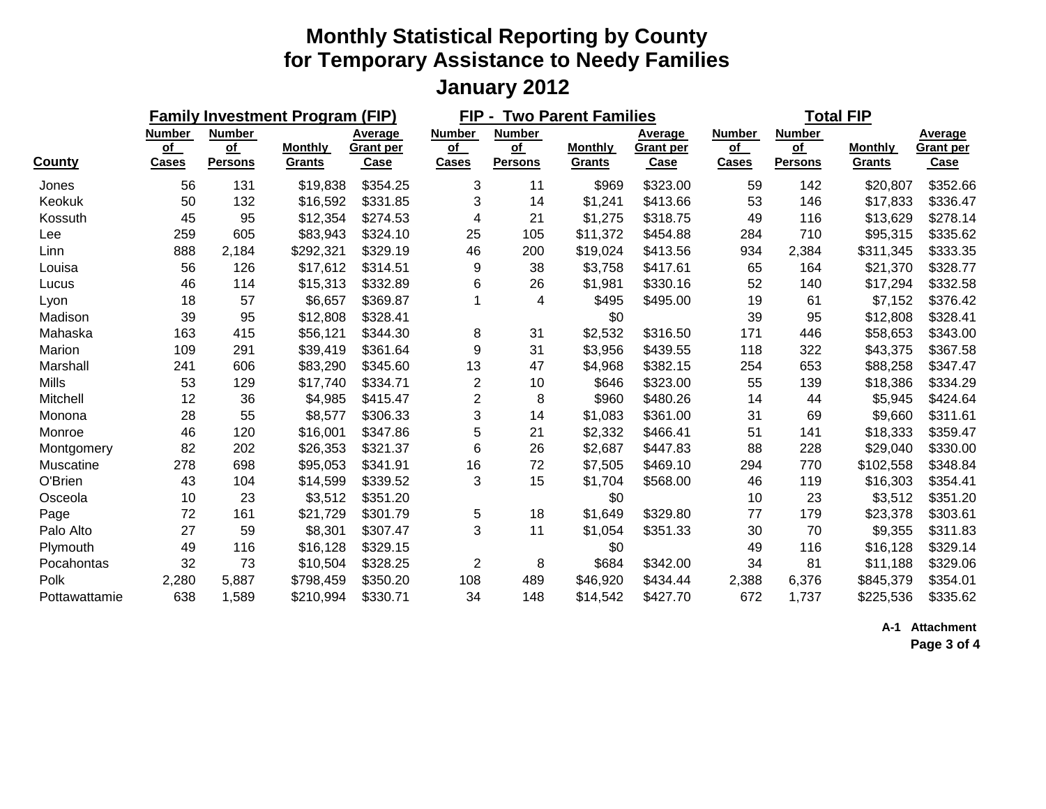|               |                                     |                                                           | <b>Family Investment Program (FIP)</b> |                              |                                     | FIP-<br><b>Two Parent Families</b>    |                          |                              |                                     | <b>Total FIP</b>                        |                                 |                                     |  |
|---------------|-------------------------------------|-----------------------------------------------------------|----------------------------------------|------------------------------|-------------------------------------|---------------------------------------|--------------------------|------------------------------|-------------------------------------|-----------------------------------------|---------------------------------|-------------------------------------|--|
| <b>County</b> | <b>Number</b><br>of<br><b>Cases</b> | <b>Number</b><br>$\overline{\text{of}}$<br><b>Persons</b> | <b>Monthly</b><br>Grants               | Average<br>Grant per<br>Case | <b>Number</b><br>of<br><b>Cases</b> | <b>Number</b><br>of<br><b>Persons</b> | <b>Monthly</b><br>Grants | Average<br>Grant per<br>Case | <b>Number</b><br>of<br><b>Cases</b> | <b>Number</b><br>$of$<br><b>Persons</b> | <b>Monthly</b><br><b>Grants</b> | Average<br><b>Grant per</b><br>Case |  |
| Jones         | 56                                  | 131                                                       | \$19,838                               | \$354.25                     | 3                                   | 11                                    | \$969                    | \$323.00                     | 59                                  | 142                                     | \$20,807                        | \$352.66                            |  |
| Keokuk        | 50                                  | 132                                                       | \$16,592                               | \$331.85                     | 3                                   | 14                                    | \$1,241                  | \$413.66                     | 53                                  | 146                                     | \$17,833                        | \$336.47                            |  |
| Kossuth       | 45                                  | 95                                                        | \$12,354                               | \$274.53                     | 4                                   | 21                                    | \$1,275                  | \$318.75                     | 49                                  | 116                                     | \$13,629                        | \$278.14                            |  |
| Lee           | 259                                 | 605                                                       | \$83,943                               | \$324.10                     | 25                                  | 105                                   | \$11,372                 | \$454.88                     | 284                                 | 710                                     | \$95,315                        | \$335.62                            |  |
| Linn          | 888                                 | 2,184                                                     | \$292,321                              | \$329.19                     | 46                                  | 200                                   | \$19,024                 | \$413.56                     | 934                                 | 2,384                                   | \$311,345                       | \$333.35                            |  |
| Louisa        | 56                                  | 126                                                       | \$17,612                               | \$314.51                     | 9                                   | 38                                    | \$3,758                  | \$417.61                     | 65                                  | 164                                     | \$21,370                        | \$328.77                            |  |
| Lucus         | 46                                  | 114                                                       | \$15,313                               | \$332.89                     | 6                                   | 26                                    | \$1,981                  | \$330.16                     | 52                                  | 140                                     | \$17,294                        | \$332.58                            |  |
| Lyon          | 18                                  | 57                                                        | \$6,657                                | \$369.87                     | 1                                   | 4                                     | \$495                    | \$495.00                     | 19                                  | 61                                      | \$7,152                         | \$376.42                            |  |
| Madison       | 39                                  | 95                                                        | \$12,808                               | \$328.41                     |                                     |                                       | \$0                      |                              | 39                                  | 95                                      | \$12,808                        | \$328.41                            |  |
| Mahaska       | 163                                 | 415                                                       | \$56,121                               | \$344.30                     | 8                                   | 31                                    | \$2,532                  | \$316.50                     | 171                                 | 446                                     | \$58,653                        | \$343.00                            |  |
| Marion        | 109                                 | 291                                                       | \$39,419                               | \$361.64                     | 9                                   | 31                                    | \$3,956                  | \$439.55                     | 118                                 | 322                                     | \$43,375                        | \$367.58                            |  |
| Marshall      | 241                                 | 606                                                       | \$83,290                               | \$345.60                     | 13                                  | 47                                    | \$4,968                  | \$382.15                     | 254                                 | 653                                     | \$88,258                        | \$347.47                            |  |
| <b>Mills</b>  | 53                                  | 129                                                       | \$17,740                               | \$334.71                     | $\overline{2}$                      | 10                                    | \$646                    | \$323.00                     | 55                                  | 139                                     | \$18,386                        | \$334.29                            |  |
| Mitchell      | 12                                  | 36                                                        | \$4,985                                | \$415.47                     | $\overline{2}$                      | 8                                     | \$960                    | \$480.26                     | 14                                  | 44                                      | \$5,945                         | \$424.64                            |  |
| Monona        | 28                                  | 55                                                        | \$8,577                                | \$306.33                     | 3                                   | 14                                    | \$1,083                  | \$361.00                     | 31                                  | 69                                      | \$9,660                         | \$311.61                            |  |
| Monroe        | 46                                  | 120                                                       | \$16,001                               | \$347.86                     | 5                                   | 21                                    | \$2,332                  | \$466.41                     | 51                                  | 141                                     | \$18,333                        | \$359.47                            |  |
| Montgomery    | 82                                  | 202                                                       | \$26,353                               | \$321.37                     | 6                                   | 26                                    | \$2,687                  | \$447.83                     | 88                                  | 228                                     | \$29,040                        | \$330.00                            |  |
| Muscatine     | 278                                 | 698                                                       | \$95,053                               | \$341.91                     | 16                                  | 72                                    | \$7,505                  | \$469.10                     | 294                                 | 770                                     | \$102,558                       | \$348.84                            |  |
| O'Brien       | 43                                  | 104                                                       | \$14,599                               | \$339.52                     | 3                                   | 15                                    | \$1,704                  | \$568.00                     | 46                                  | 119                                     | \$16,303                        | \$354.41                            |  |
| Osceola       | 10                                  | 23                                                        | \$3,512                                | \$351.20                     |                                     |                                       | \$0                      |                              | 10                                  | 23                                      | \$3,512                         | \$351.20                            |  |
| Page          | 72                                  | 161                                                       | \$21,729                               | \$301.79                     | 5                                   | 18                                    | \$1,649                  | \$329.80                     | 77                                  | 179                                     | \$23,378                        | \$303.61                            |  |
| Palo Alto     | 27                                  | 59                                                        | \$8,301                                | \$307.47                     | 3                                   | 11                                    | \$1,054                  | \$351.33                     | 30                                  | 70                                      | \$9,355                         | \$311.83                            |  |
| Plymouth      | 49                                  | 116                                                       | \$16,128                               | \$329.15                     |                                     |                                       | \$0                      |                              | 49                                  | 116                                     | \$16,128                        | \$329.14                            |  |
| Pocahontas    | 32                                  | 73                                                        | \$10,504                               | \$328.25                     | $\overline{2}$                      | 8                                     | \$684                    | \$342.00                     | 34                                  | 81                                      | \$11,188                        | \$329.06                            |  |
| Polk          | 2,280                               | 5,887                                                     | \$798,459                              | \$350.20                     | 108                                 | 489                                   | \$46,920                 | \$434.44                     | 2,388                               | 6,376                                   | \$845,379                       | \$354.01                            |  |
| Pottawattamie | 638                                 | 1,589                                                     | \$210,994                              | \$330.71                     | 34                                  | 148                                   | \$14,542                 | \$427.70                     | 672                                 | 1,737                                   | \$225,536                       | \$335.62                            |  |

**A-1 Attachment**

**Page 3 of 4**